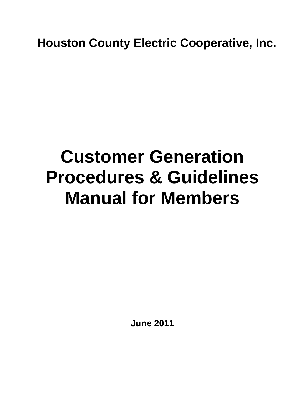**Houston County Electric Cooperative, Inc.**

# **Customer Generation Procedures & Guidelines Manual for Members**

**June 2011**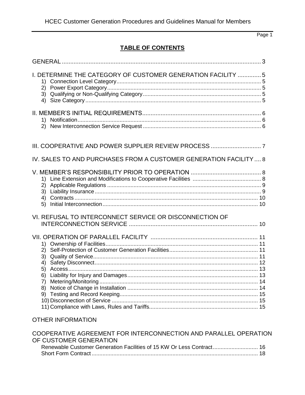## **TABLE OF CONTENTS**

| I. DETERMINE THE CATEGORY OF CUSTOMER GENERATION FACILITY  5<br>1)<br>2)<br>3)<br>4) |  |
|--------------------------------------------------------------------------------------|--|
|                                                                                      |  |
|                                                                                      |  |
| IV. SALES TO AND PURCHASES FROM A CUSTOMER GENERATION FACILITY 8                     |  |
| 2)<br>3)<br>4)<br>5)                                                                 |  |
| VI. REFUSAL TO INTERCONNECT SERVICE OR DISCONNECTION OF                              |  |
| 1)<br>2)<br>3)<br>4)<br>5)<br>6)                                                     |  |
| <b>OTHER INFORMATION</b>                                                             |  |
| COODEDATIVE ACREEMENT FOR INTERCONNECTION AND RADALLEL ORERATION                     |  |

| COOPERATIVE AGREEMENT FOR INTERCONNECTION AND PARALLEL OPERATION      |  |
|-----------------------------------------------------------------------|--|
| OF CUSTOMER GENERATION                                                |  |
| Renewable Customer Generation Facilities of 15 KW Or Less Contract 16 |  |
|                                                                       |  |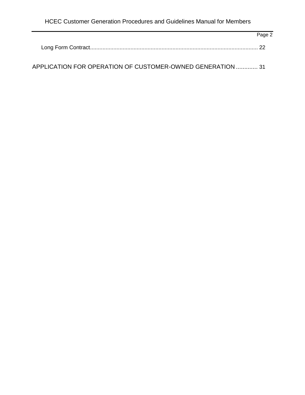| Page 2 |
|--------|
|        |
|        |

APPLICATION FOR OPERATION OF CUSTOMER-OWNED GENERATION ............. 31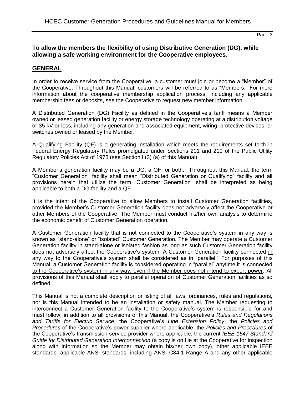## **To allow the members the flexibility of using Distributive Generation (DG), while allowing a safe working environment for the Cooperative employees.**

## **GENERAL**

In order to receive service from the Cooperative, a customer must join or become a "Member" of the Cooperative. Throughout this Manual, customers will be referred to as "Members." For more information about the cooperative membership application process, including any applicable membership fees or deposits, see the Cooperative to request new member information.

A Distributed Generation (DG) Facility as defined in the Cooperative's tariff means a Member owned or leased generation facility or energy storage technology operating at a distribution voltage or 35 kV or less, including any generation and associated equipment, wiring, protective devices, or switches owned or leased by the Member.

A Qualifying Facility (QF) is a generating installation which meets the requirements set forth in Federal Energy Regulatory Rules promulgated under Sections 201 and 210 of the Public Utility Regulatory Policies Act of 1978 (see Section I.(3) (a) of this Manual).

A Member's generation facility may be a DG, a QF, or both. Throughout this Manual, the term "Customer Generation" facility shall mean "Distributed Generation or Qualifying" facility and all provisions herein that utilize the term "Customer Generation" shall be interpreted as being applicable to both a DG facility and a QF.

It is the intent of the Cooperative to allow Members to install Customer Generation facilities, provided the Member's Customer Generation facility does not adversely affect the Cooperative or other Members of the Cooperative. The Member must conduct his/her own analysis to determine the economic benefit of Customer Generation operation.

A Customer Generation facility that is not connected to the Cooperative's system in any way is known as "stand-alone" or "isolated" Customer Generation. The Member may operate a Customer Generation facility in stand-alone or isolated fashion as long as such Customer Generation facility does not adversely affect the Cooperative's system. A Customer Generation facility connected in any way to the Cooperative's system shall be considered as in "parallel." For purposes of this Manual, a Customer Generation facility is considered operating in "parallel" anytime it is connected to the Cooperative's system in any way, even if the Member does not intend to export power. All provisions of this Manual shall apply to parallel operation of Customer Generation facilities as so defined.

This Manual is not a complete description or listing of all laws, ordinances, rules and regulations, nor is this Manual intended to be an installation or safety manual. The Member requesting to interconnect a Customer Generation facility to the Cooperative's system is responsible for and must follow, in addition to all provisions of this Manual, the Cooperative's *Rules and Regulations and Tariffs for Electric Service*, the Cooperative's *Line Extension Policy*, the *Policies and Procedures* of the Cooperative's power supplier where applicable, the *Policies and Procedures* of the Cooperative's transmission service provider where applicable, the current *IEEE 1547 Standard Guide for Distributed Generation Interconnection* (a copy is on file at the Cooperative for inspection along with information so the Member may obtain his/her own copy), other applicable IEEE standards, applicable ANSI standards, including ANSI C84.1 Range A and any other applicable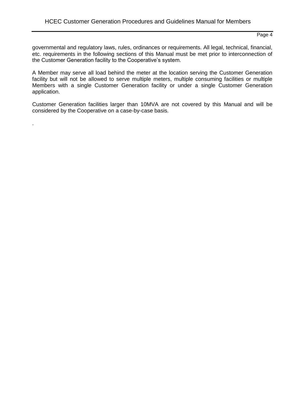governmental and regulatory laws, rules, ordinances or requirements. All legal, technical, financial, etc. requirements in the following sections of this Manual must be met prior to interconnection of the Customer Generation facility to the Cooperative's system.

A Member may serve all load behind the meter at the location serving the Customer Generation facility but will not be allowed to serve multiple meters, multiple consuming facilities or multiple Members with a single Customer Generation facility or under a single Customer Generation application.

Customer Generation facilities larger than 10MVA are not covered by this Manual and will be considered by the Cooperative on a case-by-case basis.

.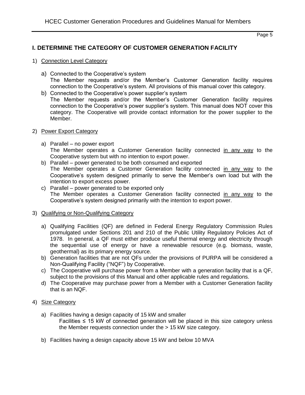## **I. DETERMINE THE CATEGORY OF CUSTOMER GENERATION FACILITY**

- 1) Connection Level Category
	- a) Connected to the Cooperative's system The Member requests and/or the Member's Customer Generation facility requires connection to the Cooperative's system. All provisions of this manual cover this category.
	- b) Connected to the Cooperative's power supplier's system The Member requests and/or the Member's Customer Generation facility requires connection to the Cooperative's power supplier's system. This manual does NOT cover this category. The Cooperative will provide contact information for the power supplier to the Member.
- 2) Power Export Category
	- a) Parallel no power export The Member operates a Customer Generation facility connected in any way to the Cooperative system but with no intention to export power.
	- b) Parallel power generated to be both consumed and exported The Member operates a Customer Generation facility connected in any way to the Cooperative's system designed primarily to serve the Member's own load but with the intention to export excess power.
	- c) Parallel power generated to be exported only The Member operates a Customer Generation facility connected in any way to the Cooperative's system designed primarily with the intention to export power.

#### 3) Qualifying or Non-Qualifying Category

- a) Qualifying Facilities (QF) are defined in Federal Energy Regulatory Commission Rules promulgated under Sections 201 and 210 of the Public Utility Regulatory Policies Act of 1978. In general, a QF must either produce useful thermal energy and electricity through the sequential use of energy or have a renewable resource (e.g. biomass, waste, geothermal) as its primary energy source.
- b) Generation facilities that are not QFs under the provisions of PURPA will be considered a Non-Qualifying Facility ("NQF") by Cooperative.
- c) The Cooperative will purchase power from a Member with a generation facility that is a QF, subject to the provisions of this Manual and other applicable rules and regulations.
- d) The Cooperative may purchase power from a Member with a Customer Generation facility that is an NQF.

#### 4) Size Category

- a) Facilities having a design capacity of 15 kW and smaller Facilities ≤ 15 kW of connected generation will be placed in this size category unless the Member requests connection under the > 15 kW size category.
- b) Facilities having a design capacity above 15 kW and below 10 MVA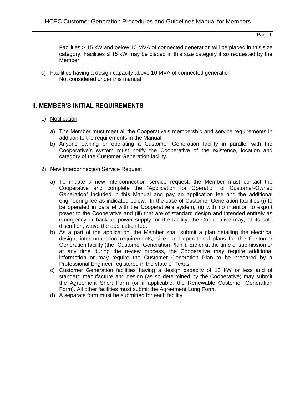Facilities > 15 kW and below 10 MVA of connected generation will be placed in this size category. Facilities  $\leq 15$  kW may be placed in this size category if so requested by the Member.

c) Facilities having a design capacity above 10 MVA of connected generation Not considered under this manual

## **II. MEMBER'S INITIAL REQUIREMENTS**

- 1) Notification
	- a) The Member must meet all the Cooperative's membership and service requirements in addition to the requirements in the Manual.
	- b) Anyone owning or operating a Customer Generation facility in parallel with the Cooperative's system must notify the Cooperative of the existence, location and category of the Customer Generation facility.
- 2) New Interconnection Service Request
	- a) To initiate a new interconnection service request, the Member must contact the Cooperative and complete the "Application for Operation of Customer-Owned Generation" included in this Manual and pay an application fee and the additional engineering fee as indicated below. In the case of Customer Generation facilities (i) to be operated in parallel with the Cooperative's system, (ii) with no intention to export power to the Cooperative and (iii) that are of standard design and intended entirely as emergency or back-up power supply for the facility, the Cooperative may, at its sole discretion, waive the application fee.
	- b) As a part of the application, the Member shall submit a plan detailing the electrical design, interconnection requirements, size, and operational plans for the Customer Generation facility (the "Customer Generation Plan"). Either at the time of submission or at any time during the review process, the Cooperative may require additional information or may require the Customer Generation Plan to be prepared by a Professional Engineer registered in the state of Texas.
	- c) Customer Generation facilities having a design capacity of 15 kW or less and of standard manufacture and design (as so determined by the Cooperative) may submit the Agreement Short Form (or if applicable, the Renewable Customer Generation Form). All other facilities must submit the Agreement Long Form.
	- d) A separate form must be submitted for each facility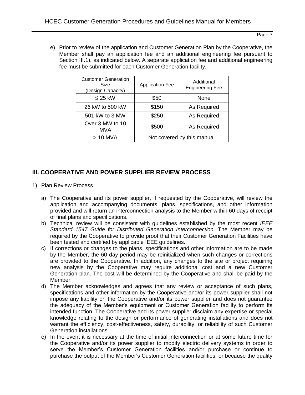e) Prior to review of the application and Customer Generation Plan by the Cooperative, the Member shall pay an application fee and an additional engineering fee pursuant to Section III.1). as indicated below. A separate application fee and additional engineering fee must be submitted for each Customer Generation facility.

| <b>Customer Generation</b><br>Size<br>(Design Capacity) | <b>Application Fee</b> | Additional<br><b>Engineering Fee</b> |
|---------------------------------------------------------|------------------------|--------------------------------------|
| $\leq$ 25 kW                                            | \$50                   | None                                 |
| 26 kW to 500 kW                                         | \$150                  | As Required                          |
| 501 kW to 3 MW                                          | \$250                  | As Required                          |
| Over 3 MW to 10<br>MVA                                  | \$500                  | As Required                          |
| $>10$ MVA                                               |                        | Not covered by this manual           |

## **III. COOPERATIVE AND POWER SUPPLIER REVIEW PROCESS**

- 1) Plan Review Process
	- a) The Cooperative and its power supplier, if requested by the Cooperative, will review the application and accompanying documents, plans, specifications, and other information provided and will return an interconnection analysis to the Member within 60 days of receipt of final plans and specifications.
	- b) Technical review will be consistent with guidelines established by the most recent *IEEE Standard 1547 Guide for Distributed Generation Interconnection.* The Member may be required by the Cooperative to provide proof that their Customer Generation Facilities have been tested and certified by applicable IEEE guidelines.
	- c) If corrections or changes to the plans, specifications and other information are to be made by the Member, the 60 day period may be reinitialized when such changes or corrections are provided to the Cooperative. In addition, any changes to the site or project requiring new analysis by the Cooperative may require additional cost and a new Customer Generation plan. The cost will be determined by the Cooperative and shall be paid by the Member.
	- d) The Member acknowledges and agrees that any review or acceptance of such plans, specifications and other information by the Cooperative and/or its power supplier shall not impose any liability on the Cooperative and/or its power supplier and does not guarantee the adequacy of the Member's equipment or Customer Generation facility to perform its intended function. The Cooperative and its power supplier disclaim any expertise or special knowledge relating to the design or performance of generating installations and does not warrant the efficiency, cost-effectiveness, safety, durability, or reliability of such Customer Generation installations.
	- e) In the event it is necessary at the time of initial interconnection or at some future time for the Cooperative and/or its power supplier to modify electric delivery systems in order to serve the Member's Customer Generation facilities and/or purchase or continue to purchase the output of the Member's Customer Generation facilities, or because the quality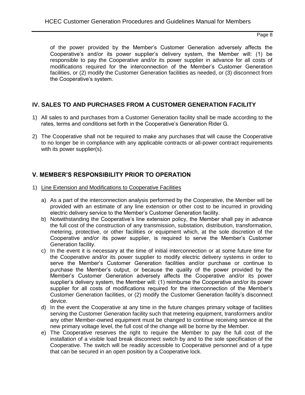of the power provided by the Member's Customer Generation adversely affects the Cooperative's and/or its power supplier's delivery system, the Member will: (1) be responsible to pay the Cooperative and/or its power supplier in advance for all costs of modifications required for the interconnection of the Member's Customer Generation facilities, or (2) modify the Customer Generation facilities as needed, or (3) disconnect from the Cooperative's system.

## **IV. SALES TO AND PURCHASES FROM A CUSTOMER GENERATION FACILITY**

- 1) All sales to and purchases from a Customer Generation facility shall be made according to the rates, terms and conditions set forth in the Cooperative's Generation Rider G.
- 2) The Cooperative shall not be required to make any purchases that will cause the Cooperative to no longer be in compliance with any applicable contracts or all-power contract requirements with its power supplier(s).

## **V. MEMBER'S RESPONSIBILITY PRIOR TO OPERATION**

- 1) Line Extension and Modifications to Cooperative Facilities
	- a) As a part of the interconnection analysis performed by the Cooperative, the Member will be provided with an estimate of any line extension or other cost to be incurred in providing electric delivery service to the Member's Customer Generation facility.
	- b) Notwithstanding the Cooperative's line extension policy, the Member shall pay in advance the full cost of the construction of any transmission, substation, distribution, transformation, metering, protective, or other facilities or equipment which, at the sole discretion of the Cooperative and/or its power supplier, is required to serve the Member's Customer Generation facility.
	- c) In the event it is necessary at the time of initial interconnection or at some future time for the Cooperative and/or its power supplier to modify electric delivery systems in order to serve the Member's Customer Generation facilities and/or purchase or continue to purchase the Member's output, or because the quality of the power provided by the Member's Customer Generation adversely affects the Cooperative and/or its power supplier's delivery system, the Member will: (1) reimburse the Cooperative and/or its power supplier for all costs of modifications required for the interconnection of the Member's Customer Generation facilities, or (2) modify the Customer Generation facility's disconnect device.
	- d) In the event the Cooperative at any time in the future changes primary voltage of facilities serving the Customer Generation facility such that metering equipment, transformers and/or any other Member-owned equipment must be changed to continue receiving service at the new primary voltage level, the full cost of the change will be borne by the Member.
	- e) The Cooperative reserves the right to require the Member to pay the full cost of the installation of a visible load break disconnect switch by and to the sole specification of the Cooperative. The switch will be readily accessible to Cooperative personnel and of a type that can be secured in an open position by a Cooperative lock.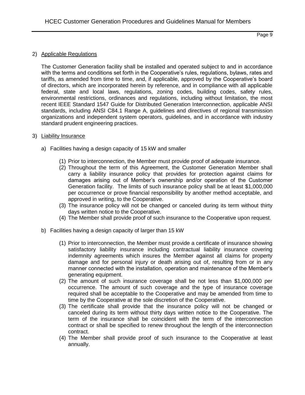#### 2) Applicable Regulations

The Customer Generation facility shall be installed and operated subject to and in accordance with the terms and conditions set forth in the Cooperative's rules, regulations, bylaws, rates and tariffs, as amended from time to time, and, if applicable, approved by the Cooperative's board of directors, which are incorporated herein by reference, and in compliance with all applicable federal, state and local laws, regulations, zoning codes, building codes, safety rules, environmental restrictions, ordinances and regulations, including without limitation, the most recent IEEE Standard 1547 Guide for Distributed Generation Interconnection, applicable ANSI standards, including ANSI C84.1 Range A, guidelines and directives of regional transmission organizations and independent system operators, guidelines, and in accordance with industry standard prudent engineering practices.

#### 3) Liability Insurance

- a) Facilities having a design capacity of 15 kW and smaller
	- (1) Prior to interconnection, the Member must provide proof of adequate insurance.
	- (2) Throughout the term of this Agreement, the Customer Generation Member shall carry a liability insurance policy that provides for protection against claims for damages arising out of Member's ownership and/or operation of the Customer Generation facility. The limits of such insurance policy shall be at least \$1,000,000 per occurrence or prove financial responsibility by another method acceptable, and approved in writing, to the Cooperative.
	- (3) The insurance policy will not be changed or canceled during its term without thirty days written notice to the Cooperative.
	- (4) The Member shall provide proof of such insurance to the Cooperative upon request.
- b) Facilities having a design capacity of larger than 15 kW
	- (1) Prior to interconnection, the Member must provide a certificate of insurance showing satisfactory liability insurance including contractual liability insurance covering indemnity agreements which insures the Member against all claims for property damage and for personal injury or death arising out of, resulting from or in any manner connected with the installation, operation and maintenance of the Member's generating equipment.
	- (2) The amount of such insurance coverage shall be not less than \$1,000,000 per occurrence. The amount of such coverage and the type of insurance coverage required shall be acceptable to the Cooperative and may be amended from time to time by the Cooperative at the sole discretion of the Cooperative.
	- (3) The certificate shall provide that the insurance policy will not be changed or canceled during its term without thirty days written notice to the Cooperative. The term of the insurance shall be coincident with the term of the interconnection contract or shall be specified to renew throughout the length of the interconnection contract.
	- (4) The Member shall provide proof of such insurance to the Cooperative at least annually.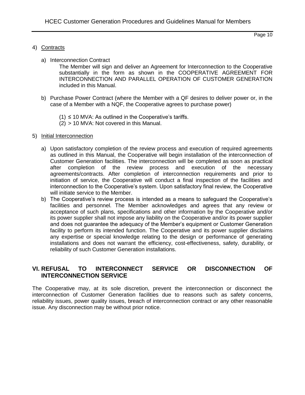#### 4) Contracts

a) Interconnection Contract

The Member will sign and deliver an Agreement for Interconnection to the Cooperative substantially in the form as shown in the COOPERATIVE AGREEMENT FOR INTERCONNECTION AND PARALLEL OPERATION OF CUSTOMER GENERATION included in this Manual.

- b) Purchase Power Contract (where the Member with a QF desires to deliver power or, in the case of a Member with a NQF, the Cooperative agrees to purchase power)
	- $(1) \leq 10$  MVA: As outlined in the Cooperative's tariffs.
	- (2) > 10 MVA: Not covered in this Manual.

#### 5) Initial Interconnection

- a) Upon satisfactory completion of the review process and execution of required agreements as outlined in this Manual, the Cooperative will begin installation of the interconnection of Customer Generation facilities. The interconnection will be completed as soon as practical after completion of the review process and execution of the necessary agreements/contracts. After completion of interconnection requirements and prior to initiation of service, the Cooperative will conduct a final inspection of the facilities and interconnection to the Cooperative's system. Upon satisfactory final review, the Cooperative will initiate service to the Member.
- b) The Cooperative's review process is intended as a means to safeguard the Cooperative's facilities and personnel. The Member acknowledges and agrees that any review or acceptance of such plans, specifications and other information by the Cooperative and/or its power supplier shall not impose any liability on the Cooperative and/or its power supplier and does not guarantee the adequacy of the Member's equipment or Customer Generation facility to perform its intended function. The Cooperative and its power supplier disclaims any expertise or special knowledge relating to the design or performance of generating installations and does not warrant the efficiency, cost-effectiveness, safety, durability, or reliability of such Customer Generation installations.

## **VI. REFUSAL TO INTERCONNECT SERVICE OR DISCONNECTION OF INTERCONNECTION SERVICE**

The Cooperative may, at its sole discretion, prevent the interconnection or disconnect the interconnection of Customer Generation facilities due to reasons such as safety concerns, reliability issues, power quality issues, breach of interconnection contract or any other reasonable issue. Any disconnection may be without prior notice.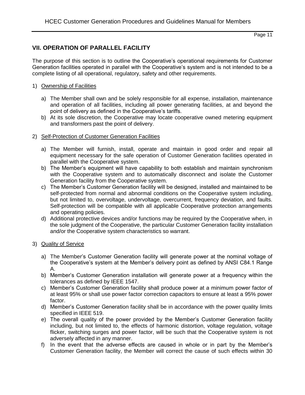## **VII. OPERATION OF PARALLEL FACILITY**

The purpose of this section is to outline the Cooperative's operational requirements for Customer Generation facilities operated in parallel with the Cooperative's system and is not intended to be a complete listing of all operational, regulatory, safety and other requirements.

## 1) Ownership of Facilities

- a) The Member shall own and be solely responsible for all expense, installation, maintenance and operation of all facilities, including all power generating facilities, at and beyond the point of delivery as defined in the Cooperative's tariffs.
- b) At its sole discretion, the Cooperative may locate cooperative owned metering equipment and transformers past the point of delivery.

## 2) Self-Protection of Customer Generation Facilities

- a) The Member will furnish, install, operate and maintain in good order and repair all equipment necessary for the safe operation of Customer Generation facilities operated in parallel with the Cooperative system.
- b) The Member's equipment will have capability to both establish and maintain synchronism with the Cooperative system and to automatically disconnect and isolate the Customer Generation facility from the Cooperative system.
- c) The Member's Customer Generation facility will be designed, installed and maintained to be self-protected from normal and abnormal conditions on the Cooperative system including, but not limited to, overvoltage, undervoltage, overcurrent, frequency deviation, and faults. Self-protection will be compatible with all applicable Cooperative protection arrangements and operating policies.
- d) Additional protective devices and/or functions may be required by the Cooperative when, in the sole judgment of the Cooperative, the particular Customer Generation facility installation and/or the Cooperative system characteristics so warrant.

## 3) Quality of Service

- a) The Member's Customer Generation facility will generate power at the nominal voltage of the Cooperative's system at the Member's delivery point as defined by ANSI C84.1 Range A.
- b) Member's Customer Generation installation will generate power at a frequency within the tolerances as defined by IEEE 1547.
- c) Member's Customer Generation facility shall produce power at a minimum power factor of at least 95% or shall use power factor correction capacitors to ensure at least a 95% power factor.
- d) Member's Customer Generation facility shall be in accordance with the power quality limits specified in IEEE 519.
- e) The overall quality of the power provided by the Member's Customer Generation facility including, but not limited to, the effects of harmonic distortion, voltage regulation, voltage flicker, switching surges and power factor, will be such that the Cooperative system is not adversely affected in any manner.
- f) In the event that the adverse effects are caused in whole or in part by the Member's Customer Generation facility, the Member will correct the cause of such effects within 30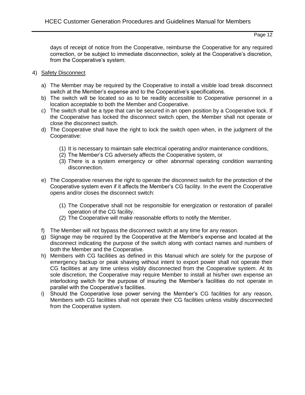days of receipt of notice from the Cooperative, reimburse the Cooperative for any required correction, or be subject to immediate disconnection, solely at the Cooperative's discretion, from the Cooperative's system.

- 4) Safety Disconnect
	- a) The Member may be required by the Cooperative to install a visible load break disconnect switch at the Member's expense and to the Cooperative's specifications.
	- b) The switch will be located so as to be readily accessible to Cooperative personnel in a location acceptable to both the Member and Cooperative.
	- c) The switch shall be a type that can be secured in an open position by a Cooperative lock. If the Cooperative has locked the disconnect switch open, the Member shall not operate or close the disconnect switch.
	- d) The Cooperative shall have the right to lock the switch open when, in the judgment of the Cooperative:
		- (1) It is necessary to maintain safe electrical operating and/or maintenance conditions,
		- (2) The Member's CG adversely affects the Cooperative system, or
		- (3) There is a system emergency or other abnormal operating condition warranting disconnection.
	- e) The Cooperative reserves the right to operate the disconnect switch for the protection of the Cooperative system even if it affects the Member's CG facility. In the event the Cooperative opens and/or closes the disconnect switch:
		- (1) The Cooperative shall not be responsible for energization or restoration of parallel operation of the CG facility.
		- (2) The Cooperative will make reasonable efforts to notify the Member.
	- f) The Member will not bypass the disconnect switch at any time for any reason.
	- g) Signage may be required by the Cooperative at the Member's expense and located at the disconnect indicating the purpose of the switch along with contact names and numbers of both the Member and the Cooperative.
	- h) Members with CG facilities as defined in this Manual which are solely for the purpose of emergency backup or peak shaving without intent to export power shall not operate their CG facilities at any time unless visibly disconnected from the Cooperative system. At its sole discretion, the Cooperative may require Member to install at his/her own expense an interlocking switch for the purpose of insuring the Member's facilities do not operate in parallel with the Cooperative's facilities.
	- i) Should the Cooperative lose power serving the Member's CG facilities for any reason, Members with CG facilities shall not operate their CG facilities unless visibly disconnected from the Cooperative system.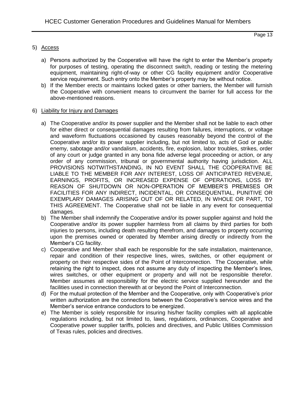#### 5) Access

- a) Persons authorized by the Cooperative will have the right to enter the Member's property for purposes of testing, operating the disconnect switch, reading or testing the metering equipment, maintaining right-of-way or other CG facility equipment and/or Cooperative service requirement. Such entry onto the Member's property may be without notice.
- b) If the Member erects or maintains locked gates or other barriers, the Member will furnish the Cooperative with convenient means to circumvent the barrier for full access for the above-mentioned reasons.

#### 6) Liability for Injury and Damages

- a) The Cooperative and/or its power supplier and the Member shall not be liable to each other for either direct or consequential damages resulting from failures, interruptions, or voltage and waveform fluctuations occasioned by causes reasonably beyond the control of the Cooperative and/or its power supplier including, but not limited to, acts of God or public enemy, sabotage and/or vandalism, accidents, fire, explosion, labor troubles, strikes, order of any court or judge granted in any bona fide adverse legal proceeding or action, or any order of any commission, tribunal or governmental authority having jurisdiction. ALL PROVISIONS NOTWITHSTANDING, IN NO EVENT SHALL THE COOPERATIVE BE LIABLE TO THE MEMBER FOR ANY INTEREST, LOSS OF ANTICIPATED REVENUE, EARNINGS, PROFITS, OR INCREASED EXPENSE OF OPERATIONS, LOSS BY REASON OF SHUTDOWN OR NON-OPERATION OF MEMBER'S PREMISES OR FACILITIES FOR ANY INDIRECT, INCIDENTAL, OR CONSEQUENTIAL, PUNITIVE OR EXEMPLARY DAMAGES ARISING OUT OF OR RELATED, IN WHOLE OR PART, TO THIS AGREEMENT. The Cooperative shall not be liable in any event for consequential damages.
- b) The Member shall indemnify the Cooperative and/or its power supplier against and hold the Cooperative and/or its power supplier harmless from all claims by third parties for both injuries to persons, including death resulting therefrom, and damages to property occurring upon the premises owned or operated by Member arising directly or indirectly from the Member's CG facility.
- c) Cooperative and Member shall each be responsible for the safe installation, maintenance, repair and condition of their respective lines, wires, switches, or other equipment or property on their respective sides of the Point of Interconnection. The Cooperative, while retaining the right to inspect, does not assume any duty of inspecting the Member's lines, wires switches, or other equipment or property and will not be responsible therefor. Member assumes all responsibility for the electric service supplied hereunder and the facilities used in connection therewith at or beyond the Point of Interconnection.
- d) For the mutual protection of the Member and the Cooperative, only with Cooperative's prior written authorization are the connections between the Cooperative's service wires and the Member's service entrance conductors to be energized.
- e) The Member is solely responsible for insuring his/her facility complies with all applicable regulations including, but not limited to, laws, regulations, ordinances, Cooperative and Cooperative power supplier tariffs, policies and directives, and Public Utilities Commission of Texas rules, policies and directives.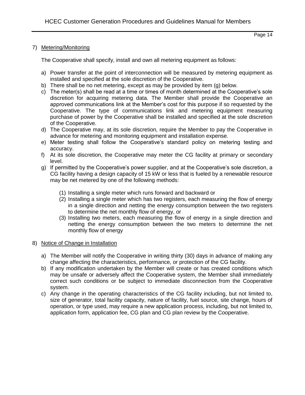#### 7) Metering/Monitoring

The Cooperative shall specify, install and own all metering equipment as follows:

- a) Power transfer at the point of interconnection will be measured by metering equipment as installed and specified at the sole discretion of the Cooperative.
- b) There shall be no net metering, except as may be provided by item (g) below.
- c) The meter(s) shall be read at a time or times of month determined at the Cooperative's sole discretion for acquiring metering data. The Member shall provide the Cooperative an approved communications link at the Member's cost for this purpose if so requested by the Cooperative. The type of communications link and metering equipment measuring purchase of power by the Cooperative shall be installed and specified at the sole discretion of the Cooperative.
- d) The Cooperative may, at its sole discretion, require the Member to pay the Cooperative in advance for metering and monitoring equipment and installation expense.
- e) Meter testing shall follow the Cooperative's standard policy on metering testing and accuracy.
- f) At its sole discretion, the Cooperative may meter the CG facility at primary or secondary level.
- g) If permitted by the Cooperative's power supplier, and at the Cooperative's sole discretion, a CG facility having a design capacity of 15 kW or less that is fueled by a renewable resource may be net metered by one of the following methods:
	- (1) Installing a single meter which runs forward and backward or
	- (2) Installing a single meter which has two registers, each measuring the flow of energy in a single direction and netting the energy consumption between the two registers to determine the net monthly flow of energy, or
	- (3) Installing two meters, each measuring the flow of energy in a single direction and netting the energy consumption between the two meters to determine the net monthly flow of energy

#### 8) Notice of Change in Installation

- a) The Member will notify the Cooperative in writing thirty (30) days in advance of making any change affecting the characteristics, performance, or protection of the CG facility.
- b) If any modification undertaken by the Member will create or has created conditions which may be unsafe or adversely affect the Cooperative system, the Member shall immediately correct such conditions or be subject to immediate disconnection from the Cooperative system.
- c) Any change in the operating characteristics of the CG facility including, but not limited to, size of generator, total facility capacity, nature of facility, fuel source, site change, hours of operation, or type used, may require a new application process, including, but not limited to, application form, application fee, CG plan and CG plan review by the Cooperative.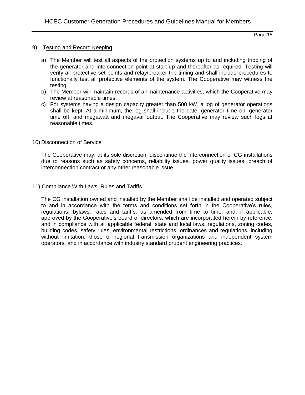## 9) Testing and Record Keeping

- a) The Member will test all aspects of the protection systems up to and including tripping of the generator and interconnection point at start-up and thereafter as required. Testing will verify all protective set points and relay/breaker trip timing and shall include procedures to functionally test all protective elements of the system. The Cooperative may witness the testing.
- b) The Member will maintain records of all maintenance activities, which the Cooperative may review at reasonable times.
- c) For systems having a design capacity greater than 500 kW, a log of generator operations shall be kept. At a minimum, the log shall include the date, generator time on, generator time off, and megawatt and megavar output. The Cooperative may review such logs at reasonable times.

#### 10) Disconnection of Service

The Cooperative may, at its sole discretion, discontinue the interconnection of CG installations due to reasons such as safety concerns, reliability issues, power quality issues, breach of interconnection contract or any other reasonable issue.

#### 11) Compliance With Laws, Rules and Tariffs

The CG installation owned and installed by the Member shall be installed and operated subject to and in accordance with the terms and conditions set forth in the Cooperative's rules, regulations, bylaws, rates and tariffs, as amended from time to time, and, if applicable, approved by the Cooperative's board of directors, which are incorporated herein by reference, and in compliance with all applicable federal, state and local laws, regulations, zoning codes, building codes, safety rules, environmental restrictions, ordinances and regulations, including without limitation, those of regional transmission organizations and independent system operators, and in accordance with industry standard prudent engineering practices.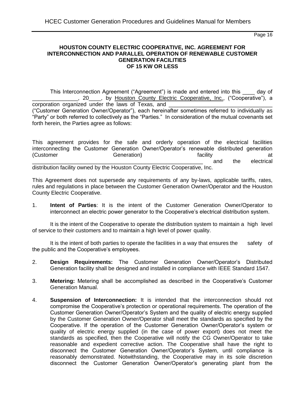#### **HOUSTON COUNTY ELECTRIC COOPERATIVE, INC. AGREEMENT FOR INTERCONNECTION AND PARALLEL OPERATION OF RENEWABLE CUSTOMER GENERATION FACILITIES OF 15 KW OR LESS**

This Interconnection Agreement ("Agreement") is made and entered into this \_\_\_\_ day of \_\_\_\_\_\_\_\_\_\_\_\_\_\_\_, 20\_\_\_\_, by Houston County Electric Cooperative, Inc., ("Cooperative"), a corporation organized under the laws of Texas, and \_ ("Customer Generation Owner/Operator"), each hereinafter sometimes referred to individually as "Party" or both referred to collectively as the "Parties." In consideration of the mutual covenants set forth herein, the Parties agree as follows:

This agreement provides for the safe and orderly operation of the electrical facilities interconnecting the Customer Generation Owner/Operator's renewable distributed generation (Customer **Generation)** (Customer at at Generation) and the state of the state of the state of the state of the state of the state of the state of the state of the state of the state of the state of the state of the state \_\_\_\_\_\_\_\_\_\_\_\_\_\_\_\_\_\_\_\_\_\_\_\_\_\_\_\_\_\_\_\_\_\_\_\_\_\_\_\_\_\_\_\_\_\_\_\_\_\_\_\_\_\_\_\_ and the electrical distribution facility owned by the Houston County Electric Cooperative, Inc.

This Agreement does not supersede any requirements of any by-laws, applicable tariffs, rates, rules and regulations in place between the Customer Generation Owner/Operator and the Houston County Electric Cooperative.

1. **Intent of Parties**: It is the intent of the Customer Generation Owner/Operator to interconnect an electric power generator to the Cooperative's electrical distribution system.

It is the intent of the Cooperative to operate the distribution system to maintain a high level of service to their customers and to maintain a high level of power quality.

It is the intent of both parties to operate the facilities in a way that ensures the safety of the public and the Cooperative's employees.

- 2. **Design Requirements:** The Customer Generation Owner/Operator's Distributed Generation facility shall be designed and installed in compliance with IEEE Standard 1547.
- 3. **Metering:** Metering shall be accomplished as described in the Cooperative's Customer Generation Manual.
- 4. **Suspension of Interconnection:** It is intended that the interconnection should not compromise the Cooperative's protection or operational requirements. The operation of the Customer Generation Owner/Operator's System and the quality of electric energy supplied by the Customer Generation Owner/Operator shall meet the standards as specified by the Cooperative. If the operation of the Customer Generation Owner/Operator's system or quality of electric energy supplied (in the case of power export) does not meet the standards as specified, then the Cooperative will notify the CG Owner/Operator to take reasonable and expedient corrective action. The Cooperative shall have the right to disconnect the Customer Generation Owner/Operator's System, until compliance is reasonably demonstrated. Notwithstanding, the Cooperative may in its sole discretion disconnect the Customer Generation Owner/Operator's generating plant from the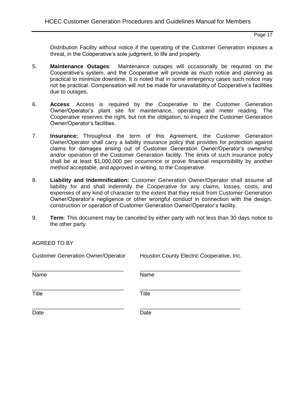Distribution Facility without notice if the operating of the Customer Generation imposes a threat, in the Cooperative's sole judgment, to life and property.

- 5. **Maintenance Outages**: Maintenance outages will occasionally be required on the Cooperative's system, and the Cooperative will provide as much notice and planning as practical to minimize downtime. It is noted that in some emergency cases such notice may not be practical. Compensation will not be made for unavailability of Cooperative's facilities due to outages.
- 6. **Access**: Access is required by the Cooperative to the Customer Generation Owner/Operator's plant site for maintenance, operating and meter reading. The Cooperative reserves the right, but not the obligation, to inspect the Customer Generation Owner/Operator's facilities.
- 7. **Insurance:** Throughout the term of this Agreement, the Customer Generation Owner/Operator shall carry a liability insurance policy that provides for protection against claims for damages arising out of Customer Generation Owner/Operator's ownership and/or operation of the Customer Generation facility. The limits of such insurance policy shall be at least \$1,000,000 per occurrence or prove financial responsibility by another method acceptable, and approved in writing, to the Cooperative.
- 8. **Liability and Indemnification:** Customer Generation Owner/Operator shall assume all liability for and shall indemnify the Cooperative for any claims, losses, costs, and expenses of any kind of character to the extent that they result from Customer Generation Owner/Operator's negligence or other wrongful conduct in connection with the design, construction or operation of Customer Generation Owner/Operator's facility.
- 9. **Term**: This document may be canceled by either party with not less than 30 days notice to the other party.

AGREED TO BY

| <b>Customer Generation Owner/Operator</b> | Houston County Electric Cooperative, Inc. |
|-------------------------------------------|-------------------------------------------|
| Name                                      | Name                                      |
| Title                                     | <b>Title</b>                              |
| Date                                      | Date                                      |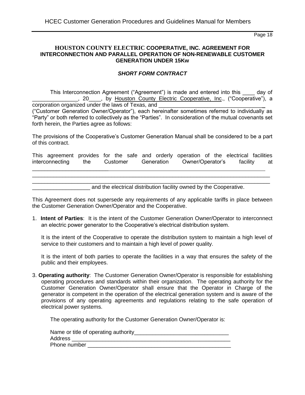#### **HOUSTON COUNTY ELECTRIC COOPERATIVE, INC. AGREEMENT FOR INTERCONNECTION AND PARALLEL OPERATION OF NON-RENEWABLE CUSTOMER GENERATION UNDER 15Kw**

#### *SHORT FORM CONTRACT*

This Interconnection Agreement ("Agreement") is made and entered into this \_\_\_\_ day of Lettric Cooperative, Inc., ("Cooperative"), a corporation organized under the laws of Texas, and ("Customer Generation Owner/Operator"), each hereinafter sometimes referred to individually as "Party" or both referred to collectively as the "Parties". In consideration of the mutual covenants set forth herein, the Parties agree as follows:

The provisions of the Cooperative's Customer Generation Manual shall be considered to be a part of this contract.

This agreement provides for the safe and orderly operation of the electrical facilities interconnecting the Customer Generation Owner/Operator's facility at

 $\mathcal{L}_\mathcal{L} = \mathcal{L}_\mathcal{L} = \mathcal{L}_\mathcal{L} = \mathcal{L}_\mathcal{L} = \mathcal{L}_\mathcal{L} = \mathcal{L}_\mathcal{L} = \mathcal{L}_\mathcal{L} = \mathcal{L}_\mathcal{L} = \mathcal{L}_\mathcal{L} = \mathcal{L}_\mathcal{L} = \mathcal{L}_\mathcal{L} = \mathcal{L}_\mathcal{L} = \mathcal{L}_\mathcal{L} = \mathcal{L}_\mathcal{L} = \mathcal{L}_\mathcal{L} = \mathcal{L}_\mathcal{L} = \mathcal{L}_\mathcal{L}$ \_\_\_\_\_\_\_\_\_\_\_\_\_\_\_\_\_\_\_\_\_\_\_\_\_\_\_\_\_\_\_\_\_\_\_\_\_\_\_\_\_\_\_\_\_\_\_\_\_\_\_\_\_\_\_\_\_\_\_\_\_\_\_\_\_\_\_\_\_\_\_\_\_\_\_\_\_\_

\_\_\_\_\_\_\_\_\_\_\_\_\_\_\_\_\_\_\_\_\_\_\_\_\_

and the electrical distribution facility owned by the Cooperative.

This Agreement does not supersede any requirements of any applicable tariffs in place between the Customer Generation Owner/Operator and the Cooperative.

1. **Intent of Parties**: It is the intent of the Customer Generation Owner/Operator to interconnect an electric power generator to the Cooperative's electrical distribution system.

It is the intent of the Cooperative to operate the distribution system to maintain a high level of service to their customers and to maintain a high level of power quality.

It is the intent of both parties to operate the facilities in a way that ensures the safety of the public and their employees.

3. **Operating authority**: The Customer Generation Owner/Operator is responsible for establishing operating procedures and standards within their organization. The operating authority for the Customer Generation Owner/Operator shall ensure that the Operator in Charge of the generator is competent in the operation of the electrical generation system and is aware of the provisions of any operating agreements and regulations relating to the safe operation of electrical power systems.

The operating authority for the Customer Generation Owner/Operator is:

| Name or title of operating authority_ |  |
|---------------------------------------|--|
| Address                               |  |
| Phone number                          |  |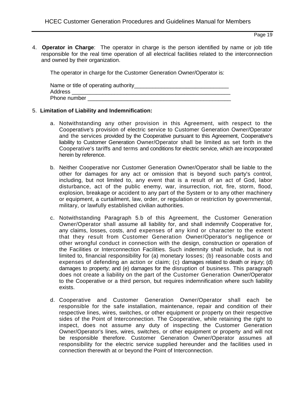4. **Operator in Charge**: The operator in charge is the person identified by name or job title responsible for the real time operation of all electrical facilities related to the interconnection and owned by their organization.

The operator in charge for the Customer Generation Owner/Operator is:

| Name or title of operating authority |  |
|--------------------------------------|--|
| Address                              |  |
| Phone number                         |  |

#### 5. **Limitation of Liability and Indemnification:**

- a. Notwithstanding any other provision in this Agreement, with respect to the Cooperative's provision of electric service to Customer Generation Owner/Operator and the services provided by the Cooperative pursuant to this Agreement, Cooperative's liability to Customer Generation Owner/Operator shall be limited as set forth in the Cooperative's tariffs and terms and conditions for electric service, which are incorporated herein by reference.
- b. Neither Cooperative nor Customer Generation Owner/Operator shall be liable to the other for damages for any act or omission that is beyond such party's control, including, but not limited to, any event that is a result of an act of God, labor disturbance, act of the public enemy, war, insurrection, riot, fire, storm, flood, explosion, breakage or accident to any part of the System or to any other machinery or equipment, a curtailment, law, order, or regulation or restriction by governmental, military, or lawfully established civilian authorities.
- c. Notwithstanding Paragraph 5.b of this Agreement, the Customer Generation Owner/Operator shall assume all liability for, and shall indemnify Cooperative for, any claims, losses, costs, and expenses of any kind or character to the extent that they result from Customer Generation Owner/Operator's negligence or other wrongful conduct in connection with the design, construction or operation of the Facilities or Interconnection Facilities. Such indemnity shall include, but is not limited to, financial responsibility for (a) monetary losses; (b) reasonable costs and expenses of defending an action or claim; (c) damages related to death or injury; (d) damages to property; and (e) damages for the disruption of business. This paragraph does not create a liability on the part of the Customer Generation Owner/Operator to the Cooperative or a third person, but requires indemnification where such liability exists.
- d. Cooperative and Customer Generation Owner/Operator shall each be responsible for the safe installation, maintenance, repair and condition of their respective lines, wires, switches, or other equipment or property on their respective sides of the Point of Interconnection. The Cooperative, while retaining the right to inspect, does not assume any duty of inspecting the Customer Generation Owner/Operator's lines, wires, switches, or other equipment or property and will not be responsible therefore. Customer Generation Owner/Operator assumes all responsibility for the electric service supplied hereunder and the facilities used in connection therewith at or beyond the Point of Interconnection.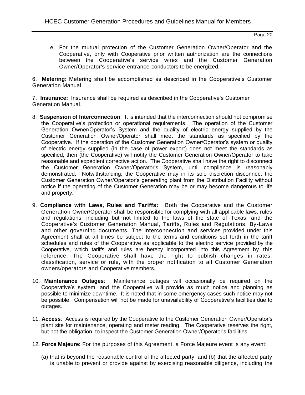e. For the mutual protection of the Customer Generation Owner/Operator and the Cooperative, only with Cooperative prior written authorization are the connections between the Cooperative's service wires and the Customer Generation Owner/Operator's service entrance conductors to be energized.

6. **Metering:** Metering shall be accomplished as described in the Cooperative's Customer Generation Manual.

7. **Insurance:** Insurance shall be required as described in the Cooperative's Customer Generation Manual.

- 8. **Suspension of Interconnection**: It is intended that the interconnection should not compromise the Cooperative's protection or operational requirements. The operation of the Customer Generation Owner/Operator's System and the quality of electric energy supplied by the Customer Generation Owner/Operator shall meet the standards as specified by the Cooperative. If the operation of the Customer Generation Owner/Operator's system or quality of electric energy supplied (in the case of power export) does not meet the standards as specified, then (the Cooperative) will notify the Customer Generation Owner/Operator to take reasonable and expedient corrective action. The Cooperative shall have the right to disconnect the Customer Generation Owner/Operator's System, until compliance is reasonably demonstrated. Notwithstanding, the Cooperative may in its sole discretion disconnect the Customer Generation Owner/Operator's generating plant from the Distribution Facility without notice if the operating of the Customer Generation may be or may become dangerous to life and property.
- 9. **Compliance with Laws, Rules and Tariffs:** Both the Cooperative and the Customer Generation Owner/Operator shall be responsible for complying with all applicable laws, rules and regulations, including but not limited to the laws of the state of Texas, and the Cooperative's Customer Generation Manual, Tariffs, Rules and Regulations, By-Laws and other governing documents. The interconnection and services provided under this Agreement shall at all times be subject to the terms and conditions set forth in the tariff schedules and rules of the Cooperative as applicable to the electric service provided by the Cooperative, which tariffs and rules are hereby incorporated into this Agreement by this reference. The Cooperative shall have the right to publish changes in rates, classification, service or rule, with the proper notification to all Customer Generation owners/operators and Cooperative members.
- 10. **Maintenance Outages**: Maintenance outages will occasionally be required on the Cooperative's system, and the Cooperative will provide as much notice and planning as possible to minimize downtime. It is noted that in some emergency cases such notice may not be possible. Compensation will not be made for unavailability of Cooperative's facilities due to outages.
- 11. **Access**: Access is required by the Cooperative to the Customer Generation Owner/Operator's plant site for maintenance, operating and meter reading. The Cooperative reserves the right, but not the obligation, to inspect the Customer Generation Owner/Operator's facilities.
- 12. **Force Majeure:** For the purposes of this Agreement, a Force Majeure event is any event:
	- (a) that is beyond the reasonable control of the affected party; and (b) that the affected party is unable to prevent or provide against by exercising reasonable diligence, including the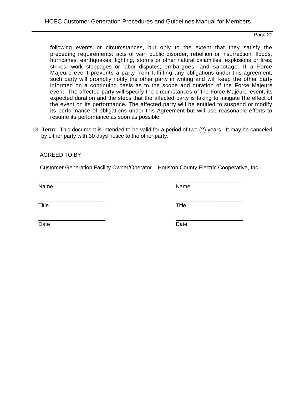following events or circumstances, but only to the extent that they satisfy the preceding requirements: acts of war, public disorder, rebellion or insurrection; floods, hurricanes, earthquakes, lighting, storms or other natural calamities; explosions or fires; strikes, work stoppages or labor disputes; embargoes; and sabotage. If a Force Majeure event prevents a party from fulfilling any obligations under this agreement, such party will promptly notify the other party in writing and will keep the other party informed on a continuing basis as to the scope and duration of the Force Majeure event. The affected party will specify the circumstances of the Force Majeure event, its expected duration and the steps that the affected party is taking to mitigate the effect of the event on its performance. The affected party will be entitled to suspend or modify its performance of obligations under this Agreement but will use reasonable efforts to resume its performance as soon as possible.

13. **Term**: This document is intended to be valid for a period of two (2) years. It may be canceled by either party with 30 days notice to the other party.

AGREED TO BY

Customer Generation Facility Owner/Operator Houston County Electric Cooperative, Inc.

Name Name

 $\overline{\phantom{a}}$  ,  $\overline{\phantom{a}}$  ,  $\overline{\phantom{a}}$  ,  $\overline{\phantom{a}}$  ,  $\overline{\phantom{a}}$  ,  $\overline{\phantom{a}}$  ,  $\overline{\phantom{a}}$  ,  $\overline{\phantom{a}}$  ,  $\overline{\phantom{a}}$  ,  $\overline{\phantom{a}}$  ,  $\overline{\phantom{a}}$  ,  $\overline{\phantom{a}}$  ,  $\overline{\phantom{a}}$  ,  $\overline{\phantom{a}}$  ,  $\overline{\phantom{a}}$  ,  $\overline{\phantom{a}}$ 

Title **Title** Title

 $\overline{\phantom{a}}$  ,  $\overline{\phantom{a}}$  ,  $\overline{\phantom{a}}$  ,  $\overline{\phantom{a}}$  ,  $\overline{\phantom{a}}$  ,  $\overline{\phantom{a}}$  ,  $\overline{\phantom{a}}$  ,  $\overline{\phantom{a}}$  ,  $\overline{\phantom{a}}$  ,  $\overline{\phantom{a}}$  ,  $\overline{\phantom{a}}$  ,  $\overline{\phantom{a}}$  ,  $\overline{\phantom{a}}$  ,  $\overline{\phantom{a}}$  ,  $\overline{\phantom{a}}$  ,  $\overline{\phantom{a}}$ 

Date **Date Date Date Date Date Date** 

 $\overline{\phantom{a}}$  ,  $\overline{\phantom{a}}$  ,  $\overline{\phantom{a}}$  ,  $\overline{\phantom{a}}$  ,  $\overline{\phantom{a}}$  ,  $\overline{\phantom{a}}$  ,  $\overline{\phantom{a}}$  ,  $\overline{\phantom{a}}$  ,  $\overline{\phantom{a}}$  ,  $\overline{\phantom{a}}$  ,  $\overline{\phantom{a}}$  ,  $\overline{\phantom{a}}$  ,  $\overline{\phantom{a}}$  ,  $\overline{\phantom{a}}$  ,  $\overline{\phantom{a}}$  ,  $\overline{\phantom{a}}$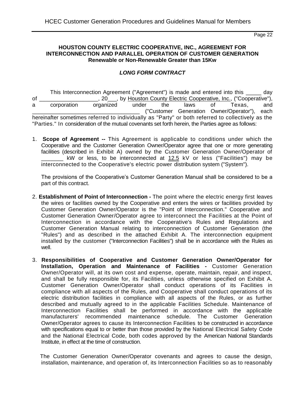#### **HOUSTON COUNTY ELECTRIC COOPERATIVE, INC., AGREEMENT FOR INTERCONNECTION AND PARALLEL OPERATION OF CUSTOMER GENERATION Renewable or Non-Renewable Greater than 15Kw**

#### *LONG FORM CONTRACT*

This Interconnection Agreement ("Agreement") is made and entered into this \_\_\_\_\_ day of \_\_\_\_\_\_\_\_\_\_\_\_\_\_\_\_\_\_, 20\_\_\_, by Houston County Electric Cooperative, Inc., ("Cooperative"), a corporation organized under the laws of Texas, and \_\_\_\_\_\_\_\_\_\_\_\_\_\_\_\_\_\_\_\_\_\_\_\_\_\_\_\_\_\_\_\_\_\_\_ ("Customer Generation Owner/Operator"), each hereinafter sometimes referred to individually as "Party" or both referred to collectively as the "Parties." In consideration of the mutual covenants set forth herein, the Parties agree as follows:

1. **Scope of Agreement --** This Agreement is applicable to conditions under which the Cooperative and the Customer Generation Owner/Operator agree that one or more generating facilities (described in Exhibit A) owned by the Customer Generation Owner/Operator of kW or less, to be interconnected at 12.5 kV or less ("Facilities") may be interconnected to the Cooperative's electric power distribution system ("System").

The provisions of the Cooperative's Customer Generation Manual shall be considered to be a part of this contract.

- 2. **Establishment of Point of Interconnection -** The point where the electric energy first leaves the wires or facilities owned by the Cooperative and enters the wires or facilities provided by Customer Generation Owner/Operator is the "Point of Interconnection." Cooperative and Customer Generation Owner/Operator agree to interconnect the Facilities at the Point of Interconnection in accordance with the Cooperative's Rules and Regulations and Customer Generation Manual relating to interconnection of Customer Generation (the "Rules") and as described in the attached Exhibit A. The interconnection equipment installed by the customer ("Interconnection Facilities") shall be in accordance with the Rules as well.
- 3. **Responsibilities of Cooperative and Customer Generation Owner/Operator for Installation, Operation and Maintenance of Facilities -** Customer Generation Owner/Operator will, at its own cost and expense, operate, maintain, repair, and inspect, and shall be fully responsible for, its Facilities, unless otherwise specified on Exhibit A. Customer Generation Owner/Operator shall conduct operations of its Facilities in compliance with all aspects of the Rules, and Cooperative shall conduct operations of its electric distribution facilities in compliance with all aspects of the Rules, or as further described and mutually agreed to in the applicable Facilities Schedule. Maintenance of Interconnection Facilities shall be performed in accordance with the applicable manufacturers' recommended maintenance schedule. The Customer Generation Owner/Operator agrees to cause its Interconnection Facilities to be constructed in accordance with specifications equal to or better than those provided by the National Electrical Safety Code and the National Electrical Code, both codes approved by the American National Standards Institute, in effect at the time of construction.

 The Customer Generation Owner/Operator covenants and agrees to cause the design, installation, maintenance, and operation of, its Interconnection Facilities so as to reasonably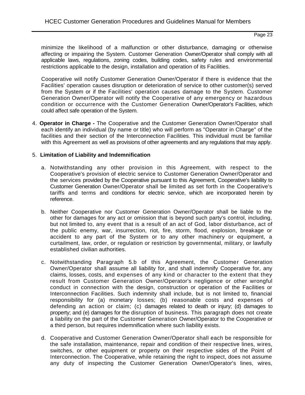minimize the likelihood of a malfunction or other disturbance, damaging or otherwise affecting or impairing the System. Customer Generation Owner/Operator shall comply with all applicable laws, regulations, zoning codes, building codes, safety rules and environmental restrictions applicable to the design, installation and operation of its Facilities.

Cooperative will notify Customer Generation Owner/Operator if there is evidence that the Facilities' operation causes disruption or deterioration of service to other customer(s) served from the System or if the Facilities' operation causes damage to the System. Customer Generation Owner/Operator will notify the Cooperative of any emergency or hazardous condition or occurrence with the Customer Generation Owner/Operator's Facilities, which could affect safe operation of the System.

4. **Operator in Charge -** The Cooperative and the Customer Generation Owner/Operator shall each identify an individual (by name or title) who will perform as "Operator in Charge" of the facilities and their section of the Interconnection Facilities. This individual must be familiar with this Agreement as well as provisions of other agreements and any regulations that may apply.

#### 5. **Limitation of Liability and Indemnification**

- a. Notwithstanding any other provision in this Agreement, with respect to the Cooperative's provision of electric service to Customer Generation Owner/Operator and the services provided by the Cooperative pursuant to this Agreement, Cooperative's liability to Customer Generation Owner/Operator shall be limited as set forth in the Cooperative's tariffs and terms and conditions for electric service, which are incorporated herein by reference.
- b. Neither Cooperative nor Customer Generation Owner/Operator shall be liable to the other for damages for any act or omission that is beyond such party's control, including, but not limited to, any event that is a result of an act of God, labor disturbance, act of the public enemy, war, insurrection, riot, fire, storm, flood, explosion, breakage or accident to any part of the System or to any other machinery or equipment, a curtailment, law, order, or regulation or restriction by governmental, military, or lawfully established civilian authorities.
- c. Notwithstanding Paragraph 5.b of this Agreement, the Customer Generation Owner/Operator shall assume all liability for, and shall indemnify Cooperative for, any claims, losses, costs, and expenses of any kind or character to the extent that they result from Customer Generation Owner/Operator's negligence or other wrongful conduct in connection with the design, construction or operation of the Facilities or Interconnection Facilities. Such indemnity shall include, but is not limited to, financial responsibility for (a) monetary losses; (b) reasonable costs and expenses of defending an action or claim; (c) damages related to death or injury; (d) damages to property; and (e) damages for the disruption of business. This paragraph does not create a liability on the part of the Customer Generation Owner/Operator to the Cooperative or a third person, but requires indemnification where such liability exists.
- d. Cooperative and Customer Generation Owner/Operator shall each be responsible for the safe installation, maintenance, repair and condition of their respective lines, wires, switches, or other equipment or property on their respective sides of the Point of Interconnection. The Cooperative, while retaining the right to inspect, does not assume any duty of inspecting the Customer Generation Owner/Operator's lines, wires,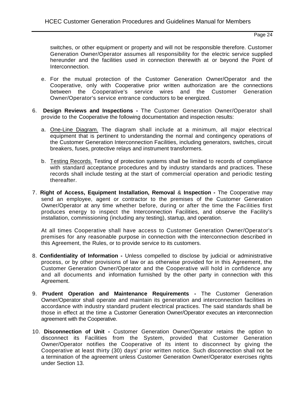switches, or other equipment or property and will not be responsible therefore. Customer Generation Owner/Operator assumes all responsibility for the electric service supplied hereunder and the facilities used in connection therewith at or beyond the Point of Interconnection.

- e. For the mutual protection of the Customer Generation Owner/Operator and the Cooperative, only with Cooperative prior written authorization are the connections between the Cooperative's service wires and the Customer Generation Owner/Operator's service entrance conductors to be energized.
- 6. **Design Reviews and Inspections -** The Customer Generation Owner/Operator shall provide to the Cooperative the following documentation and inspection results:
	- a. One-Line Diagram. The diagram shall include at a minimum, all major electrical equipment that is pertinent to understanding the normal and contingency operations of the Customer Generation Interconnection Facilities, including generators, switches, circuit breakers, fuses, protective relays and instrument transformers.
	- b. Testing Records. Testing of protection systems shall be limited to records of compliance with standard acceptance procedures and by industry standards and practices. These records shall include testing at the start of commercial operation and periodic testing thereafter.
- 7. **Right of Access, Equipment Installation, Removal** & **Inspection -** The Cooperative may send an employee, agent or contractor to the premises of the Customer Generation Owner/Operator at any time whether before, during or after the time the Facilities first produces energy to inspect the Interconnection Facilities, and observe the Facility's installation, commissioning (including any testing), startup, and operation.

At all times Cooperative shall have access to Customer Generation Owner/Operator's premises for any reasonable purpose in connection with the interconnection described in this Agreement, the Rules, or to provide service to its customers.

- 8. **Confidentiality of Information -** Unless compelled to disclose by judicial or administrative process, or by other provisions of law or as otherwise provided for in this Agreement, the Customer Generation Owner/Operator and the Cooperative will hold in confidence any and all documents and information furnished by the other party in connection with this Agreement.
- 9. **Prudent Operation and Maintenance Requirements -** The Customer Generation Owner/Operator shall operate and maintain its generation and interconnection facilities in accordance with industry standard prudent electrical practices. The said standards shall be those in effect at the time a Customer Generation Owner/Operator executes an interconnection agreement with the Cooperative.
- 10. **Disconnection of Unit -** Customer Generation Owner/Operator retains the option to disconnect its Facilities from the System, provided that Customer Generation Owner/Operator notifies the Cooperative of its intent to disconnect by giving the Cooperative at least thirty (30) days' prior written notice. Such disconnection shall not be a termination of the agreement unless Customer Generation Owner/Operator exercises rights under Section 13.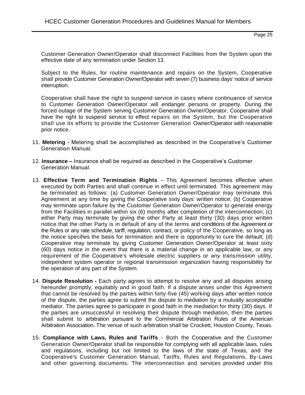Customer Generation Owner/Operator shall disconnect Facilities from the System upon the effective date of any termination under Section 13.

Subject to the Rules, for routine maintenance and repairs on the System, Cooperative shall provide Customer Generation Owner/Operator with seven (7) business days' notice of service interruption.

Cooperative shall have the right to suspend service in cases where continuance of service to Customer Generation Owner/Operator will endanger persons or property. During the forced outage of the System serving Customer Generation Owner/Operator, Cooperative shall have the right to suspend service to effect repairs on the System, but the Cooperative shall use its efforts to provide the Customer Generation Owner/Operator with reasonable prior notice.

- 11. **Metering -** Metering shall be accomplished as described in the Cooperative's Customer Generation Manual.
- 12. **Insurance –** Insurance shall be required as described in the Cooperative's Customer Generation Manual.
- 13. **Effective Term and Termination Rights -** This Agreement becomes effective when executed by both Parties and shall continue in effect until terminated. This agreement may be terminated as follows: (a) Customer Generation Owner/Operator may terminate this Agreement at any time by giving the Cooperative sixty days' written notice; (b) Cooperative may terminate upon failure by the Customer Generation Owner/Operator to generate energy from the Facilities in parallel within six (6) months after completion of the interconnection; (c) either Party may terminate by giving the other Party at least thirty (30) days prior written notice that the other Party is in default of any of the terms and conditions of the Agreement or the Rules or any rate schedule, tariff, regulation, contract, or policy of the Cooperative, so long as the notice specifies the basis for termination and there is opportunity to cure the default; (d) Cooperative may terminate by giving Customer Generation Owner/Operator at least sixty (60) days notice in the event that there is a material change in an applicable law, or any requirement of the Cooperative's wholesale electric suppliers or any transmission utility, independent system operator or regional transmission organization having responsibility for the operation of any part of the System.
- 14. **Dispute Resolution -** Each party agrees to attempt to resolve any and all disputes arising hereunder promptly, equitably and in good faith. If a dispute arises under this Agreement that cannot be resolved by the parties within forty-five (45) working days after written notice of the dispute, the parties agree to submit the dispute to mediation by a mutually acceptable mediator. The parties agree to participate in good faith in the mediation for thirty (30) days. If the parties are unsuccessful in resolving their dispute through mediation, then the parties shall submit to arbitration pursuant to the Commercial Arbitration Rules of the American Arbitration Association. The venue of such arbitration shall be Crockett, Houston County, Texas.
- 15. **Compliance with Laws, Rules and Tariffs**  Both the Cooperative and the Customer Generation Owner/Operator shall be responsible for complying with all applicable laws, rules and regulations, including but not limited to the laws of the state of Texas, and the Cooperative's Customer Generation Manual, Tariffs, Rules and Regulations, By-Laws and other governing documents. The interconnection and services provided under this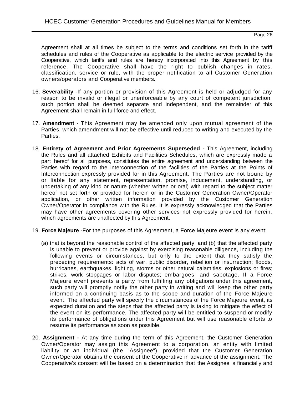Agreement shall at all times be subject to the terms and conditions set forth in the tariff schedules and rules of the Cooperative as applicable to the electric service provided by the Cooperative, which tariffs and rules are hereby incorporated into this Agreement by this reference. The Cooperative shall have the right to publish changes in rates, classification, service or rule, with the proper notification to all Customer Generation owners/operators and Cooperative members.

- 16. **Severability** -If any portion or provision of this Agreement is held or adjudged for any reason to be invalid or illegal or unenforceable by any court of competent jurisdiction, such portion shall be deemed separate and independent, and the remainder of this Agreement shall remain in full force and effect.
- 17. **Amendment -** This Agreement may be amended only upon mutual agreement of the Parties, which amendment will not be effective until reduced to writing and executed by the Parties.
- 18. **Entirety of Agreement and Prior Agreements Superseded -** This Agreement, including the Rules and all attached Exhibits and Facilities Schedules, which are expressly made a part hereof for all purposes, constitutes the entire agreement and understanding between the Parties with regard to the interconnection of the facilities of the Parties at the Points of Interconnection expressly provided for in this Agreement. The Parties are not bound by or liable for any statement, representation, promise, inducement, understanding, or undertaking of any kind or nature (whether written or oral) with regard to the subject matter hereof not set forth or provided for herein or in the Customer Generation Owner/Operator application, or other written information provided by the Customer Generation Owner/Operator in compliance with the Rules. It is expressly acknowledged that the Parties may have other agreements covering other services not expressly provided for herein, which agreements are unaffected by this Agreement.
- 19. **Force Majeure** -For the purposes of this Agreement, a Force Majeure event is any event:
	- (a) that is beyond the reasonable control of the affected party; and (b) that the affected party is unable to prevent or provide against by exercising reasonable diligence, including the following events or circumstances, but only to the extent that they satisfy the preceding requirements: acts of war, public disorder, rebellion or insurrection; floods, hurricanes, earthquakes, lighting, storms or other natural calamities; explosions or fires; strikes, work stoppages or labor disputes; embargoes; and sabotage. If a Force Majeure event prevents a party from fulfilling any obligations under this agreement, such party will promptly notify the other party in writing and will keep the other party informed on a continuing basis as to the scope and duration of the Force Majeure event. The affected party will specify the circumstances of the Force Majeure event, its expected duration and the steps that the affected party is taking to mitigate the effect of the event on its performance. The affected party will be entitled to suspend or modify its performance of obligations under this Agreement but will use reasonable efforts to resume its performance as soon as possible.
- 20. **Assignment -** At any time during the term of this Agreement, the Customer Generation Owner/Operator may assign this Agreement to a corporation, an entity with limited liability or an individual (the "Assignee"), provided that the Customer Generation Owner/Operator obtains the consent of the Cooperative in advance of the assignment. The Cooperative's consent will be based on a determination that the Assignee is financially and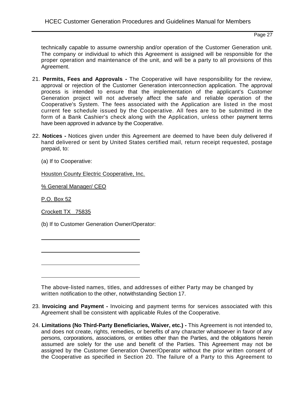technically capable to assume ownership and/or operation of the Customer Generation unit. The company or individual to which this Agreement is assigned will be responsible for the proper operation and maintenance of the unit, and will be a party to all provisions of this Agreement.

- 21. **Permits, Fees and Approvals -** The Cooperative will have responsibility for the review, approval or rejection of the Customer Generation interconnection application. The approval process is intended to ensure that the implementation of the applicant's Customer Generation project will not adversely affect the safe and reliable operation of the Cooperative's System. The fees associated with the Application are listed in the most current fee schedule issued by the Cooperative. All fees are to be submitted in the form of a Bank Cashier's check along with the Application, unless other payment terms have been approved in advance by the Cooperative.
- 22. **Notices -** Notices given under this Agreement are deemed to have been duly delivered if hand delivered or sent by United States certified mail, return receipt requested, postage prepaid, to:

(a) If to Cooperative:

Houston County Electric Cooperative, Inc.

% General Manager/ CEO

P.O. Box 52

Crockett TX 75835

(b) If to Customer Generation Owner/Operator:

The above-listed names, titles, and addresses of either Party may be changed by written notification to the other, notwithstanding Section 17.

- 23. **Invoicing and Payment -** Invoicing and payment terms for services associated with this Agreement shall be consistent with applicable Rules of the Cooperative.
- 24. **Limitations (No Third-Party Beneficiaries, Waiver, etc.) -** This Agreement is not intended to, and does not create, rights, remedies, or benefits of any character whatsoever in favor of any persons, corporations, associations, or entities other than the Parties, and the obligations herein assumed are solely for the use and benefit of the Parties. This Agreement may not be assigned by the Customer Generation Owner/Operator without the prior written consent of the Cooperative as specified in Section 20. The failure of a Party to this Agreement to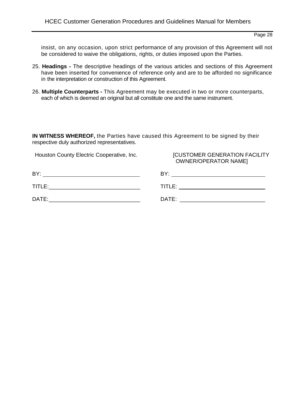insist, on any occasion, upon strict performance of any provision of this Agreement will not be considered to waive the obligations, rights, or duties imposed upon the Parties.

- 25. **Headings -** The descriptive headings of the various articles and sections of this Agreement have been inserted for convenience of reference only and are to be afforded no significance in the interpretation or construction of this Agreement.
- 26. **Multiple Counterparts -** This Agreement may be executed in two or more counterparts, each of which is deemed an original but all constitute one and the same instrument.

**IN WITNESS WHEREOF,** the Parties have caused this Agreement to be signed by their respective duly authorized representatives.

Houston County Electric Cooperative, Inc. [CUSTOMER GENERATION FACILITY

OWNER/OPERATOR NAME]

| <b>BY</b> | BY:    |
|-----------|--------|
| TITLE:    | TITLE: |
| DATE:     | DATE:  |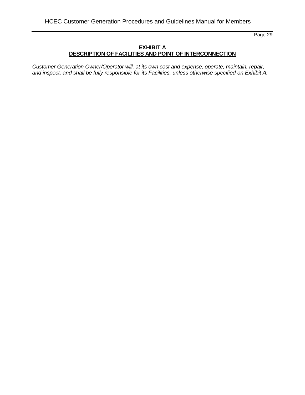#### **EXHIBIT A DESCRIPTION OF FACILITIES AND POINT OF INTERCONNECTION**

*Customer Generation Owner/Operator will, at its own cost and expense, operate, maintain, repair, and inspect, and shall be fully responsible for its Facilities, unless otherwise specified on Exhibit A.*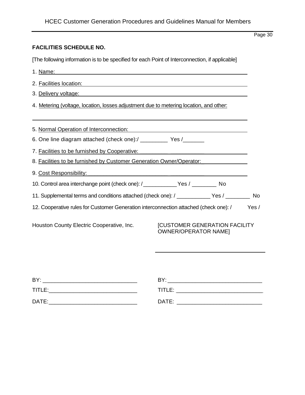#### **FACILITIES SCHEDULE NO.**

[The following information is to be specified for each Point of Interconnection, if applicable]

1. Name: 2. Facilities location: 3. Delivery voltage: 4. Metering (voltage, location, losses adjustment due to metering location, and other: 5. Normal Operation of Interconnection: 6. One line diagram attached (check one):/ \_\_\_\_\_\_\_\_\_\_ Yes /\_\_\_\_\_\_\_ 7. Facilities to be furnished by Cooperative: 8. Facilities to be furnished by Customer Generation Owner/Operator:\_ 9. Cost Responsibility: 10. Control area interchange point (check one): /\_\_\_\_\_\_\_\_\_\_\_Yes / \_\_\_\_\_\_\_\_ No 11. Supplemental terms and conditions attached (check one): / \_\_\_\_\_\_\_\_\_\_\_ Yes / \_\_\_\_\_\_\_\_ No 12. Cooperative rules for Customer Generation interconnection attached (check one): / Yes / Houston County Electric Cooperative, Inc. [CUSTOMER GENERATION FACILITY OWNER/OPERATOR NAME]

| BY:    | BY:    |
|--------|--------|
| TITLE: | TITLE: |
| DATE:  | DATE:  |
|        |        |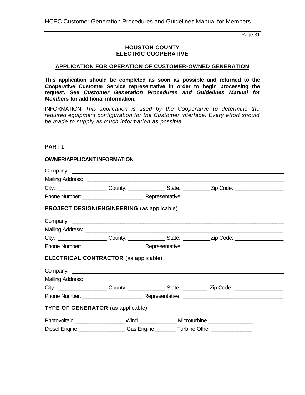#### **HOUSTON COUNTY ELECTRIC COOPERATIVE**

#### **APPLICATION FOR OPERATION OF CUSTOMER-OWNED GENERATION**

**This application should be completed as soon as possible and returned to the Cooperative Customer Service representative in order to begin processing the request. See** *Customer Generation Procedures and Guidelines Manual for Members* **for additional information.**

INFORMATION: *This application is used by the Cooperative to determine the required equipment configuration for the Customer interface. Every effort should be made to supply as much information as possible.*

#### **PART 1**

#### **OWNER/APPLICANT INFORMATION**

|                                   |                                                   | City: _____________________County: ___________________State: ____________Zip Code: _________________           |  |
|-----------------------------------|---------------------------------------------------|----------------------------------------------------------------------------------------------------------------|--|
|                                   |                                                   |                                                                                                                |  |
|                                   | <b>PROJECT DESIGN/ENGINEERING (as applicable)</b> |                                                                                                                |  |
|                                   |                                                   |                                                                                                                |  |
|                                   |                                                   |                                                                                                                |  |
|                                   |                                                   | City: ______________________County: ____________________State: ____________Zip Code: ____________________      |  |
|                                   |                                                   |                                                                                                                |  |
|                                   | <b>ELECTRICAL CONTRACTOR</b> (as applicable)      |                                                                                                                |  |
|                                   |                                                   |                                                                                                                |  |
|                                   |                                                   |                                                                                                                |  |
|                                   |                                                   | City: _____________________County: _______________________State: _______________ Zip Code: ___________________ |  |
|                                   |                                                   |                                                                                                                |  |
| TYPE OF GENERATOR (as applicable) |                                                   |                                                                                                                |  |
|                                   |                                                   | Photovoltaic ____________________Wind _______________Microturbine ______________                               |  |
|                                   |                                                   | Diesel Engine ___________________Gas Engine _________Turbine Other _____________                               |  |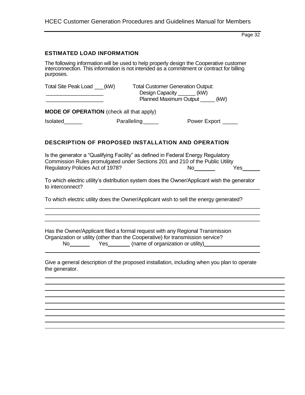|  | <b>HCEC Customer Generation Procedures and Guidelines Manual for Members</b> |
|--|------------------------------------------------------------------------------|
|--|------------------------------------------------------------------------------|

#### **ESTIMATED LOAD INFORMATION**

The following information will be used to help properly design the Cooperative customer interconnection. This information is not intended as a commitment or contract for billing purposes.

| Total Site Peak Load ___(kW)                                       | <b>Total Customer Generation Output:</b><br>Design Capacity _______(kW)<br>Planned Maximum Output ______ (kW) |  |
|--------------------------------------------------------------------|---------------------------------------------------------------------------------------------------------------|--|
| <b>MODE OF OPERATION</b> (check all that apply)<br><b>Isolated</b> | Paralleling_____<br>Power Export ______                                                                       |  |

#### **DESCRIPTION OF PROPOSED INSTALLATION AND OPERATION**

| Is the generator a "Qualifying Facility" as defined in Federal Energy Regulatory |     |      |
|----------------------------------------------------------------------------------|-----|------|
| Commission Rules promulgated under Sections 201 and 210 of the Public Utility    |     |      |
| Regulatory Policies Act of 1978?                                                 | No. | Yes. |

To which electric utility's distribution system does the Owner/Applicant wish the generator

\_\_\_\_\_\_\_\_\_\_\_\_\_\_\_\_\_\_\_\_\_\_\_\_\_\_\_\_\_\_\_\_\_\_\_\_\_\_\_\_\_\_\_\_\_\_\_\_\_\_\_\_\_\_\_\_\_\_\_\_\_\_\_\_\_\_\_\_\_\_\_\_ \_\_\_\_\_\_\_\_\_\_\_\_\_\_\_\_\_\_\_\_\_\_\_\_\_\_\_\_\_\_\_\_\_\_\_\_\_\_\_\_\_\_\_\_\_\_\_\_\_\_\_\_\_\_\_\_\_\_\_\_\_\_\_\_\_\_\_\_\_\_\_\_ \_\_\_\_\_\_\_\_\_\_\_\_\_\_\_\_\_\_\_\_\_\_\_\_\_\_\_\_\_\_\_\_\_\_\_\_\_\_\_\_\_\_\_\_\_\_\_\_\_\_\_\_\_\_\_\_\_\_\_\_\_\_\_\_\_\_\_\_\_\_\_\_

To which electric utility does the Owner/Applicant wish to sell the energy generated?

Has the Owner/Applicant filed a formal request with any Regional Transmission Organization or utility (other than the Cooperative) for transmission service? No Yes (name of organization or utility)

Give a general description of the proposed installation, including when you plan to operate the generator.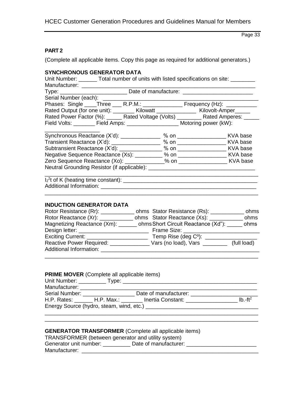## **PART 2**

(Complete all applicable items. Copy this page as required for additional generators.)

#### **SYNCHRONOUS GENERATOR DATA**

| Unit Number: ________ Total number of units with listed specifications on site: ________             |                                                                                  |  |  |  |
|------------------------------------------------------------------------------------------------------|----------------------------------------------------------------------------------|--|--|--|
| Manufacturer: ________                                                                               |                                                                                  |  |  |  |
|                                                                                                      | Type: ________________________________Date of manufacture: _____________________ |  |  |  |
|                                                                                                      |                                                                                  |  |  |  |
|                                                                                                      |                                                                                  |  |  |  |
| Rated Output (for one unit): _________ Kilowatt ________________ Kilovolt-Amper______                |                                                                                  |  |  |  |
| Rated Power Factor (%): ______ Rated Voltage (Volts) _________ Rated Amperes: ______                 |                                                                                  |  |  |  |
| Field Volts: ________ Field Amps: _____________________ Motoring power (kW):                         |                                                                                  |  |  |  |
| Synchronous Reactance (X'd): 30 % 00 4 % 00 4 5 % 00 5 % 00 5 % 00 5 % 00 5 % 00 5 % 00 5 % 00 5 % 0 |                                                                                  |  |  |  |
| Transient Reactance (X'd): 2008 % 00 % 00 % 00 KVA base                                              |                                                                                  |  |  |  |
|                                                                                                      | $\sim$ $\sim$                                                                    |  |  |  |

| <b>Hansicht Reactance (Ad).</b>             | 70 U.I | IVAT DUOU |
|---------------------------------------------|--------|-----------|
| Subtransient Reactance (X'd):               | $%$ on | KVA base  |
| Negative Sequence Reactance (Xs):           | % on   | KVA base  |
| Zero Sequence Reactance (Xo):               | % on   | KVA base  |
| Neutral Grounding Resistor (if applicable): |        |           |

| $I_2^2$ t of K (heating time constant): _ |  |
|-------------------------------------------|--|
| Additional Information:                   |  |
|                                           |  |

#### **INDUCTION GENERATOR DATA**

| Rotor Resistance (Rr): 2000                                            | ohms Stator Resistance (Rs): _______ | ohms        |
|------------------------------------------------------------------------|--------------------------------------|-------------|
| Rotor Reactance (Xr): 2000                                             | ohms Stator Reactance (Xs): _______  | ohms        |
| Magnetizing Reactance (Xm): ______ ohms Short Circuit Reactance (Xd"): |                                      | ohms        |
| Design letter: ______________                                          | Frame Size: _                        |             |
|                                                                        |                                      |             |
| Reactive Power Required: ________                                      | Vars (no load), Vars                 | (full load) |
| Additional Information:                                                |                                      |             |
|                                                                        |                                      |             |

#### **PRIME MOVER** (Complete all applicable items)

| Manufacturer: ________________ |                                  |                                          |            |
|--------------------------------|----------------------------------|------------------------------------------|------------|
|                                | Serial Number: _________________ | Date of manufacturer:                    |            |
|                                |                                  | H.P. Rates: H.P. Max.: Inertia Constant: | Ib $-ft^2$ |
|                                |                                  |                                          |            |
|                                |                                  |                                          |            |

\_\_\_\_\_\_\_\_\_\_\_\_\_\_\_\_\_\_\_\_\_\_\_\_\_\_\_\_\_\_\_\_\_\_\_\_\_\_\_\_\_\_\_\_\_\_\_\_\_\_\_\_\_\_\_\_\_\_\_\_\_\_\_\_\_\_\_\_\_\_

#### **GENERATOR TRANSFORMER** (Complete all applicable items)

| TRANSFORMER (between generator and utility system) |                       |  |
|----------------------------------------------------|-----------------------|--|
| Generator unit number:                             | Date of manufacturer: |  |
| Manufacturer:                                      |                       |  |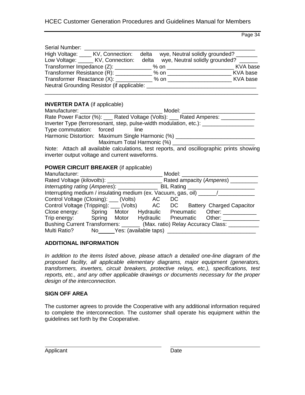## HCEC Customer Generation Procedures and Guidelines Manual for Members

Page 34

| Serial Number: |                                            |       |                                       |          |
|----------------|--------------------------------------------|-------|---------------------------------------|----------|
|                | High Voltage: _____ KV, Connection:        | delta | wye, Neutral solidly grounded?        |          |
|                | Low Voltage: ______ KV, Connection:        | delta | wye, Neutral solidly grounded?        |          |
|                |                                            |       |                                       | KVA base |
|                |                                            |       | Transformer Resistance (R): 2000 % 00 | KVA base |
|                |                                            |       |                                       | KVA base |
|                | Neutral Grounding Resistor (if applicable: |       |                                       |          |
|                |                                            |       |                                       |          |

#### **INVERTER DATA** (if applicable)

| Manufacturer: Wanter and Manufacturers | Model: <b>Model</b>                                                                     |
|----------------------------------------|-----------------------------------------------------------------------------------------|
|                                        | Rate Power Factor (%): ___ Rated Voltage (Volts): ___ Rated Amperes: _________          |
|                                        | Inverter Type (ferroresonant, step, pulse-width modulation, etc.): ______________       |
| Type commutation: forced               | line                                                                                    |
|                                        | Harmonic Distortion: Maximum Single Harmonic (%) _____________                          |
|                                        | Maximum Total Harmonic (%) ____________                                                 |
|                                        | Note: Attach all available calculations test reports, and oscilledraphic prints showing |

Note: Attach all available calculations, test reports, and oscillographic prints showing inverter output voltage and current waveforms.

#### **POWER CIRCUIT BREAKER** (if applicable)

| Manufacturer: Wannabar                                                           |  |                          | Model: |                                                                               |
|----------------------------------------------------------------------------------|--|--------------------------|--------|-------------------------------------------------------------------------------|
|                                                                                  |  |                          |        | Rated Voltage (kilovolts): Rated ampacity (Amperes)                           |
| Interrupting rating (Amperes): ______________                                    |  |                          |        | BIL Rating                                                                    |
| Interrupting medium / insulating medium (ex. Vacuum, gas, oil) _________________ |  |                          |        |                                                                               |
| Control Voltage (Closing): ___ (Volts) AC                                        |  |                          | DC.    |                                                                               |
|                                                                                  |  |                          |        | Control Voltage (Tripping): ___ (Volts) AC DC Battery Charged Capacitor       |
|                                                                                  |  |                          |        | Close energy: Spring Motor Hydraulic Pneumatic Other:                         |
|                                                                                  |  |                          |        | Trip energy: Spring Motor Hydraulic Pneumatic Other:                          |
|                                                                                  |  |                          |        | Bushing Current Transformers: _______ (Max. ratio) Relay Accuracy Class: ____ |
| Multi Ratio?                                                                     |  | No Yes: (available taps) |        |                                                                               |

#### **ADDITIONAL INFORMATION**

*In addition to the items listed above, please attach a detailed one-line diagram of the proposed facility, all applicable elementary diagrams, major equipment (generators, transformers, inverters, circuit breakers, protective relays, etc.), specifications, test reports, etc., and any other applicable drawings or documents necessary for the proper design of the interconnection.*

#### **SIGN OFF AREA**

The customer agrees to provide the Cooperative with any additional information required to complete the interconnection. The customer shall operate his equipment within the guidelines set forth by the Cooperative.